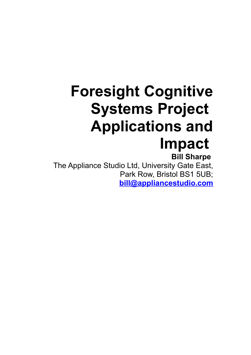# **Foresight Cognitive Systems Project Applications and Impact**

**Bill Sharpe** 

The Appliance Studio Ltd, University Gate East, Park Row, Bristol BS1 5UB; **[bill@appliancestudio.com](mailto:bill@appliancestudio.com)**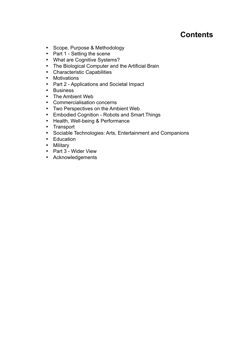### **Contents**

- Scope, Purpose & Methodology
- Part 1 Setting the scene
- What are Cognitive Systems?
- The Biological Computer and the Artificial Brain
- Characteristic Capabilities
- Motivations
- Part 2 Applications and Societal Impact
- Business
- The Ambient Web
- Commercialisation concerns
- Two Perspectives on the Ambient Web
- Embodied Cognition Robots and Smart Things
- Health, Well-being & Performance
- Transport
- Sociable Technologies: Arts, Entertainment and Companions
- Education
- Military
- Part 3 Wider View
- Acknowledgements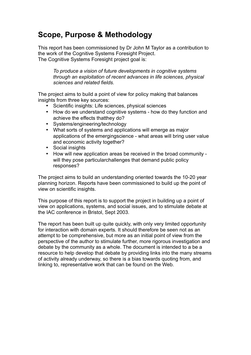### **Scope, Purpose & Methodology**

This report has been commissioned by Dr John M Taylor as a contribution to the work of the Cognitive Systems Foresight Project. The Cognitive Systems Foresight project goal is:

*To produce a vision of future developments in cognitive systems through an exploitation of recent advances in life sciences, physical sciences and related fields.* 

The project aims to build a point of view for policy making that balances insights from three key sources:

- Scientific insights: Life sciences, physical sciences
- How do we understand cognitive systems how do they function and achieve the effects thatthey do?
- Systems/engineering/technology
- What sorts of systems and applications will emerge as major applications of the emergingscience - what areas will bring user value and economic activity together?
- Social insights
- How will new application areas be received in the broad community will they pose particularchallenges that demand public policy responses?

The project aims to build an understanding oriented towards the 10-20 year planning horizon. Reports have been commissioned to build up the point of view on scientific insights.

This purpose of this report is to support the project in building up a point of view on applications, systems, and social issues, and to stimulate debate at the IAC conference in Bristol, Sept 2003.

The report has been built up quite quickly, with only very limited opportunity for interaction with domain experts. It should therefore be seen not as an attempt to be comprehensive, but more as an initial point of view from the perspective of the author to stimulate further, more rigorous investigation and debate by the community as a whole. The document is intended to a be a resource to help develop that debate by providing links into the many streams of activity already underway, so there is a bias towards quoting from, and linking to, representative work that can be found on the Web.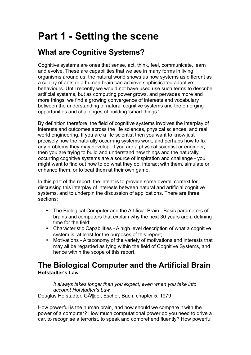## **Part 1 - Setting the scene**

### **What are Cognitive Systems?**

Cognitive systems are ones that sense, act, think, feel, communicate, learn and evolve. These are capabilities that we see in many forms in living organisms around us; the natural world shows us how systems as different as a colony of ants or a human brain can achieve sophisticated adaptive behaviours. Until recently we would not have used use such terms to describe artificial systems, but as computing power grows, and pervades more and more things, we find a growing convergence of interests and vocabulary between the understanding of natural cognitive systems and the emerging opportunities and challenges of building 'smart things.'

By definition therefore, the field of cognitive systems involves the interplay of interests and outcomes across the life sciences, physical sciences, and real world engineering. If you are a life scientist then you want to know just precisely how the naturally occurring systems work, and perhaps how to fix any problems they may develop. If you are a physical scientist or engineer, then you are trying to build and understand new things and the naturally occurring cognitive systems are a source of inspiration and challenge - you might want to find out how to do what they do, interact with them, simulate or enhance them, or to beat them at their own game.

In this part of the report, the intent is to provide some overall context for discussing this interplay of interests between natural and artificial cognitive systems, and to underpin the discussion of applications. There are three sections:

- The Biological Computer and the Artificial Brain Basic parameters of brains and computers that explain why the next 30 years are a defining time for the field;
- Characteristic Capabilities A high level description of what a cognitive system is, at least for the purposes of this report;
- Motivations A taxonomy of the variety of motivations and interests that may all be regarded as lying within the field of Cognitive Systems, and hence within the scope of this report.

### **The Biological Computer and the Artificial Brain Hofstadter's Law**

*It always takes longer than you expect, even when you take into account Hofstadter's Law.*  Douglas Hofstadter, GATdel, Escher, Bach, chapter 5, 1979

How powerful is the human brain, and how should we compare it with the power of a computer? How much computational power do you need to drive a car, to recognise a terrorist, to speak and comprehend fluently? How powerful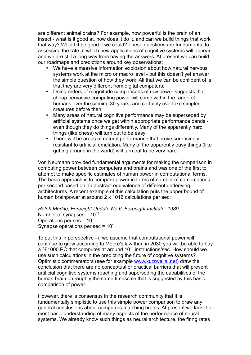are different animal brains? For example, how powerful is the brain of an insect - what is it good at, how does it do it, and can we build things that work that way? Would it be good if we could? These questions are fundamental to assessing the rate at which new applications of cognitive systems will appear, and we are still a long way from having the answers. At present we can build our roadmaps and predictions around key observations:

- We have a massive information explosion about how natural nervous systems work at the micro or macro level - but this doesn't yet answer the simple question of how they work. All that we can be confident of is that they are very different from digital computers;
- Doing orders of magnitude comparisons of raw power suggests that cheap pervasive computing power will come within the range of humans over the coming 30 years, and certainly overtake simpler creatures before then;
- Many areas of natural cognitive performance may be superseded by artificial systems once we get within appropriate performance bands even though they do things differently. Many of the apparently hard things (like chess) will turn out to be easy;
- There will be areas of natural performance that prove surprisingly resistant to artificial emulation. Many of the apparently easy things (like getting around in the world) will turn out to be very hard.

Von Neumann provided fundamental arguments for making the comparison in computing power between computers and brains and was one of the first to attempt to make specific estimates of human power in computational terms. The basic approach is to compare power in terms of number of computations per second based on an abstract equivalence of different underlying architectures. A recent example of this calculation puts the upper bound of human brainpower at around 2 x 1016 calculations per sec:

*Ralph Merkle, Foresight Update No 6, Foresight Institute, 1989* Number of synapses =  $10^{15}$ Operations per sec = 10 Synapse operations per sec =  $10^{16}$ 

To put this in perspective - if we assume that computational power will continue to grow according to Moore's law then in 2030 you will be able to buy a ^£1000 PC that computes at around 10<sup>16</sup> instructions/sec. How should we use such calculations in the predicting the future of cognitive systems? Optimistic commentators (see for example [www.kurzweilai.net\)](http://www.foresight.gov.uk/OurWork/CompletedProjects/Cognitive/Docs/2_Part_1.asp) draw the conclusion that there are no conceptual or practical barriers that will prevent artificial cognitive systems reaching and superseding the capabilities of the human brain on roughly the same timescale that is suggested by this basic comparison of power.

However, there is consensus in the research community that it is fundamentally simplistic to use this simple power comparison to draw any general conclusions about computers matching brains. At present we lack the most basic understanding of many aspects of the performance of neural systems. We already know such things as neural architecture, the firing rates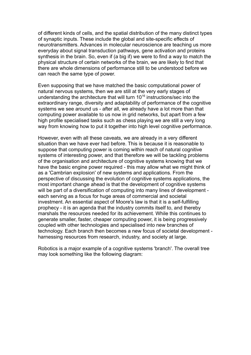of different kinds of cells, and the spatial distribution of the many distinct types of synaptic inputs. These include the global and site-specific effects of neurotransmitters. Advances in molecular neuroscience are teaching us more everyday about signal transduction pathways, gene activation and proteins synthesis in the brain. So, even if (a big if) we were to find a way to match the physical structure of certain networks of the brain, we are likely to find that there are whole dimensions of performance still to be understood before we can reach the same type of power.

Even supposing that we have matched the basic computational power of natural nervous systems, then we are still at the very early stages of understanding the architecture that will turn 10<sup>16</sup> instructions/sec into the extraordinary range, diversity and adaptability of performance of the cognitive systems we see around us - after all, we already have a lot more than that computing power available to us now in grid networks, but apart from a few high profile specialised tasks such as chess playing we are still a very long way from knowing how to put it together into high level cognitive performance.

However, even with all these caveats, we are already in a very different situation than we have ever had before. This is because it is reasonable to suppose that computing power is coming within reach of natural cognitive systems of interesting power, and that therefore we will be tackling problems of the organisation and architecture of cognitive systems knowing that we have the basic engine power required - this may allow what we might think of as a 'Cambrian explosion' of new systems and applications. From the perspective of discussing the evolution of cognitive systems applications, the most important change ahead is that the development of cognitive systems will be part of a diversification of computing into many lines of development each serving as a focus for huge areas of commercial and societal investment. An essential aspect of Moore's law is that it is a self-fulfilling prophecy - it is an agenda that the industry commits itself to, and thereby marshals the resources needed for its achievement. While this continues to generate smaller, faster, cheaper computing power, it is being progressively coupled with other technologies and specialised into new branches of technology. Each branch then becomes a new focus of societal development harnessing resources from research, industry, and society at large.

Robotics is a major example of a cognitive systems 'branch'. The overall tree may look something like the following diagram: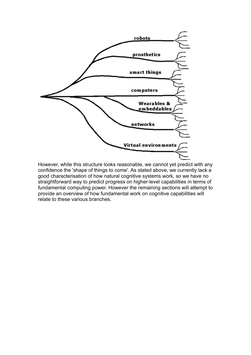

However, while this structure looks reasonable, we cannot yet predict with any confidence the 'shape of things to come'. As stated above, we currently lack a good characterisation of how natural cognitive systems work, so we have no straightforward way to predict progress on higher-level capabilities in terms of fundamental computing power. However the remaining sections will attempt to provide an overview of how fundamental work on cognitive capabilities will relate to these various branches.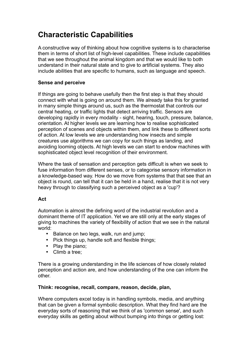### **Characteristic Capabilities**

A constructive way of thinking about how cognitive systems is to characterise them in terms of short list of high-level capabilities. These include capabilities that we see throughout the animal kingdom and that we would like to both understand in their natural state and to give to artificial systems. They also include abilities that are specific to humans, such as language and speech.

#### **Sense and perceive**

If things are going to behave usefully then the first step is that they should connect with what is going on around them. We already take this for granted in many simple things around us, such as the thermostat that controls our central heating, or traffic lights that detect arriving traffic. Sensors are developing rapidly in every modality - sight, hearing, touch, pressure, balance, orientation. At higher levels we are learning how to realise sophisticated perception of scenes and objects within them, and link these to different sorts of action. At low levels we are understanding how insects and simple creatures use algorithms we can copy for such things as landing, and avoiding looming objects. At high levels we can start to endow machines with sophisticated object level recognition of their environment.

Where the task of sensation and perception gets difficult is when we seek to fuse information from different senses, or to categorise sensory information in a knowledge-based way. How do we move from systems that that see that an object is round, can tell that it can be held in a hand, realise that it is not very heavy through to classifying such a perceived object as a 'cup'?

#### **Act**

Automation is almost the defining word of the industrial revolution and a dominant theme of IT application. Yet we are still only at the early stages of giving to machines the variety of flexibility of action that we see in the natural world:

- Balance on two legs, walk, run and jump;
- Pick things up, handle soft and flexible things;
- Play the piano;
- Climb a tree;

There is a growing understanding in the life sciences of how closely related perception and action are, and how understanding of the one can inform the other.

#### **Think: recognise, recall, compare, reason, decide, plan,**

Where computers excel today is in handling symbols, media, and anything that can be given a formal symbolic description. What they find hard are the everyday sorts of reasoning that we think of as 'common sense', and such everyday skills as getting about without bumping into things or getting lost: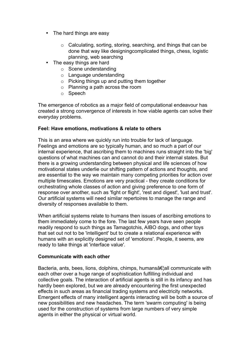- The hard things are easy
	- o Calculating, sorting, storing, searching, and things that can be done that way like designingcomplicated things, chess, logistic planning, web searching
- The easy things are hard
	- o Scene understanding
	- o Language understanding
	- o Picking things up and putting them together
	- o Planning a path across the room
	- o Speech

The emergence of robotics as a major field of computational endeavour has created a strong convergence of interests in how viable agents can solve their everyday problems.

#### **Feel: Have emotions, motivations & relate to others**

This is an area where we quickly run into trouble for lack of language. Feelings and emotions are so typically human, and so much a part of our internal experience, that ascribing them to machines runs straight into the 'big' questions of what machines can and cannot do and their internal states. But there is a growing understanding between physical and life sciences of how motivational states underlie our shifting pattern of actions and thoughts, and are essential to the way we maintain many competing priorities for action over multiple timescales. Emotions are very practical - they create conditions for orchestrating whole classes of action and giving preference to one form of response over another, such as 'fight or flight', 'rest and digest', 'lust and trust'. Our artificial systems will need similar repertoires to manage the range and diversity of responses available to them.

When artificial systems relate to humans then issues of ascribing emotions to them immediately come to the fore. The last few years have seen people readily respond to such things as Tamagotchis, AIBO dogs, and other toys that set out not to be 'intelligent' but to create a relational experience with humans with an explicitly designed set of 'emotions'. People, it seems, are ready to take things at 'interface value'.

#### **Communicate with each other**

Bacteria, ants, bees, lions, dolphins, chimps, humans $\hat{a} \in \mathcal{A}$  all communicate with each other over a huge range of sophistication fulfilling individual and collective goals. The interaction of artificial agents is still in its infancy and has hardly been explored, but we are already encountering the first unexpected effects in such areas as financial trading systems and electricity networks. Emergent effects of many intelligent agents interacting will be both a source of new possibilities and new headaches. The term 'swarm computing' is being used for the construction of systems from large numbers of very simple agents in either the physical or virtual world.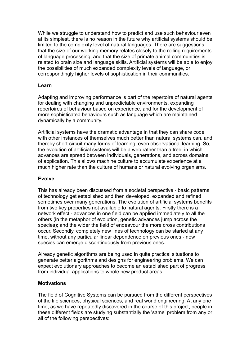While we struggle to understand how to predict and use such behaviour even at its simplest, there is no reason in the future why artificial systems should be limited to the complexity level of natural languages. There are suggestions that the size of our working memory relates closely to the rolling requirements of language processing, and that the size of primate animal communities is related to brain size and language skills. Artificial systems will be able to enjoy the possibilities of much expanded complexity levels of language, or correspondingly higher levels of sophistication in their communities.

#### **Learn**

Adapting and improving performance is part of the repertoire of natural agents for dealing with changing and unpredictable environments, expanding repertoires of behaviour based on experience, and for the development of more sophisticated behaviours such as language which are maintained dynamically by a community.

Artificial systems have the dramatic advantage in that they can share code with other instances of themselves much better than natural systems can, and thereby short-circuit many forms of learning, even observational learning. So, the evolution of artificial systems will be a web rather than a tree, in which advances are spread between individuals, generations, and across domains of application. This allows machine culture to accumulate experience at a much higher rate than the culture of humans or natural evolving organisms.

#### **Evolve**

This has already been discussed from a societal perspective - basic patterns of technology get established and then developed, expanded and refined sometimes over many generations. The evolution of artificial systems benefits from two key properties not available to natural agents. Firstly there is a network effect - advances in one field can be applied immediately to all the others (in the metaphor of evolution, genetic advances jump across the species); and the wider the field of endeavour the more cross contributions occur. Secondly, completely new lines of technology can be started at any time, without any particular linear dependence on previous ones - new species can emerge discontinuously from previous ones.

Already genetic algorithms are being used in quite practical situations to generate better algorithms and designs for engineering problems. We can expect evolutionary approaches to become an established part of progress from individual applications to whole new product areas.

#### **Motivations**

The field of Cognitive Systems can be pursued from the different perspectives of the life sciences, physical sciences, and real world engineering. At any one time, as we have repeatedly discovered in the course of this project, people in these different fields are studying substantially the 'same' problem from any or all of the following perspectives: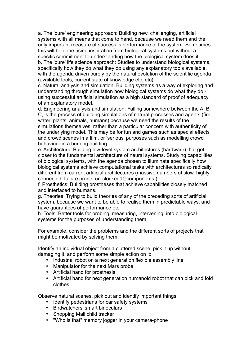a. The 'pure' engineering approach: Building new, challenging, artificial systems with all means that come to hand, because we need them and the only important measure of success is performance of the system. Sometimes this will be done using inspiration from biological systems but without a specific commitment to understanding how the biological system does it.

b. The 'pure' life science approach: Studies to understand biological systems, specifically how they do what they do using any explanatory tools available, with the agenda driven purely by the natural evolution of the scientific agenda (available tools, current state of knowledge etc, etc).

c. Natural analysis and simulation: Building systems as a way of exploring and understanding through simulation how biological systems do what they do using successful artificial simulation as a high standard of proof of adequacy of an explanatory model.

d. Engineering analysis and simulation: Falling somewhere between the A, B, C, is the process of building simulations of natural processes and agents (fire, water, plants, animals, humans) because we need the results of the simulations themselves, rather than a particular concern with authenticity of the underlying model. This may be for fun and games such as special effects and crowd scenes in a film, or 'serious' purposes such as modelling crowd behaviour in a burning building.

e. Architecture: Building low-level system architectures (hardware) that get closer to the fundamental architecture of neural systems. Studying capabilities of biological systems, with the agenda chosen to illuminate specifically how biological systems achieve computational tasks with architectures so radically different from current artificial architectures (massive numbers of slow, highly connected, failure prone, un-clocked…components.)

f. Prosthetics: Building prostheses that achieve capabilities closely matched and interfaced to humans.

g. Theories: Trying to build theories of any of the preceding sorts of artificial system, because we want to be able to realise them in predictable ways, and have guarantees of performance etc.

h. Tools: Better tools for probing, measuring, intervening, into biological systems for the purposes of understanding them.

For example, consider the problems and the different sorts of projects that might be motivated by solving them:

Identify an individual object from a cluttered scene, pick it up without damaging it, and perform some simple action on it:

- Industrial robot on a next generation flexible assembly line
- Manipulator for the next Mars probe
- Artificial hand for prosthesis
- Artificial hand for next generation humanoid robot that can pick and fold clothes

Observe natural scenes, pick out and identify important things:

- Identify pedestrians for car safety systems
- Birdwatchers' smart binoculars
- Shopping Mall child tracker
- "Who is that" memory jogger in your camera-phone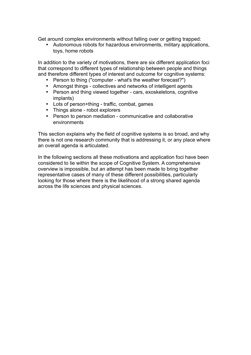Get around complex environments without falling over or getting trapped:

• Autonomous robots for hazardous environments, military applications, toys, home robots

In addition to the variety of motivations, there are six different application foci that correspond to different types of relationship between people and things and therefore different types of interest and outcome for cognitive systems:

- Person to thing ("computer what's the weather forecast?")
- Amongst things collectives and networks of intelligent agents
- Person and thing viewed together cars, exoskeletons, cognitive implants)
- Lots of person+thing traffic, combat, games
- Things alone robot explorers
- Person to person mediation communicative and collaborative environments

This section explains why the field of cognitive systems is so broad, and why there is not one research community that is addressing it, or any place where an overall agenda is articulated.

In the following sections all these motivations and application foci have been considered to lie within the scope of Cognitive System. A comprehensive overview is impossible, but an attempt has been made to bring together representative cases of many of these different possibilities, particularly looking for those where there is the likelihood of a strong shared agenda across the life sciences and physical sciences.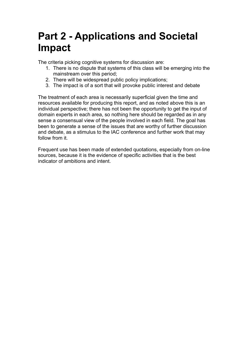## **Part 2 - Applications and Societal Impact**

The criteria picking cognitive systems for discussion are:

- 1. There is no dispute that systems of this class will be emerging into the mainstream over this period;
- 2. There will be widespread public policy implications;
- 3. The impact is of a sort that will provoke public interest and debate

The treatment of each area is necessarily superficial given the time and resources available for producing this report, and as noted above this is an individual perspective; there has not been the opportunity to get the input of domain experts in each area, so nothing here should be regarded as in any sense a consensual view of the people involved in each field. The goal has been to generate a sense of the issues that are worthy of further discussion and debate, as a stimulus to the IAC conference and further work that may follow from it.

Frequent use has been made of extended quotations, especially from on-line sources, because it is the evidence of specific activities that is the best indicator of ambitions and intent.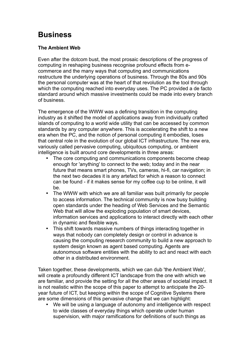### **Business**

#### **The Ambient Web**

Even after the dotcom bust, the most prosaic descriptions of the progress of computing in reshaping business recognise profound effects from ecommerce and the many ways that computing and communications restructure the underlying operations of business. Through the 80s and 90s the personal computer was at the heart of that revolution as the tool through which the computing reached into everyday uses. The PC provided a de facto standard around which massive investments could be made into every branch of business.

The emergence of the WWW was a defining transition in the computing industry as it shifted the model of applications away from individually crafted islands of computing to a world wide utility that can be accessed by common standards by any computer anywhere. This is accelerating the shift to a new era when the PC, and the notion of personal computing it embodies, loses that central role in the evolution of our global ICT infrastructure. The new era, variously called pervasive computing, ubiquitous computing, or ambient intelligence is built around core developments in three areas:

- The core computing and communications components become cheap enough for 'anything' to connect to the web; today and in the near future that means smart phones, TVs, cameras, hi-fi, car navigation; in the next two decades it is any artefact for which a reason to connect can be found - if it makes sense for my coffee cup to be online, it will be.
- The WWW with which we are all familiar was built primarily for people to access information. The technical community is now busy building open standards under the heading of Web Services and the Semantic Web that will allow the exploding population of smart devices, information services and applications to interact directly with each other in dynamic and flexible ways.
- This shift towards massive numbers of things interacting together in ways that nobody can completely design or control in advance is causing the computing research community to build a new approach to system design known as agent based computing. Agents are autonomous software entities with the ability to act and react with each other in a distributed environment.

Taken together, these developments, which we can dub 'the Ambient Web', will create a profoundly different ICT landscape from the one with which we are familiar, and provide the setting for all the other areas of societal impact. It is not realistic within the scope of this paper to attempt to anticipate the 20 year future of ICT, but keeping within the scope of Cognitive Systems there are some dimensions of this pervasive change that we can highlight:

• We will be using a language of autonomy and intelligence with respect to wide classes of everyday things which operate under human supervision, with major ramifications for definitions of such things as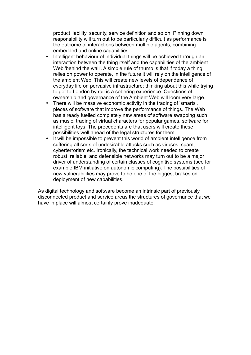product liability, security, service definition and so on. Pinning down responsibility will turn out to be particularly difficult as performance is the outcome of interactions between multiple agents, combining embedded and online capabilities.

- Intelligent behaviour of individual things will be achieved through an interaction between the thing itself and the capabilities of the ambient Web 'behind the wall'. A simple rule of thumb is that if today a thing relies on power to operate, in the future it will rely on the intelligence of the ambient Web. This will create new levels of dependence of everyday life on pervasive infrastructure; thinking about this while trying to get to London by rail is a sobering experience. Questions of ownership and governance of the Ambient Web will loom very large.
- There will be massive economic activity in the trading of 'smarts', pieces of software that improve the performance of things. The Web has already fuelled completely new areas of software swapping such as music, trading of virtual characters for popular games, software for intelligent toys. The precedents are that users will create these possibilities well ahead of the legal structures for them.
- It will be impossible to prevent this world of ambient intelligence from suffering all sorts of undesirable attacks such as viruses, spam, cyberterrorism etc. Ironically, the technical work needed to create robust, reliable, and defensible networks may turn out to be a major driver of understanding of certain classes of cognitive systems (see for example IBM initiative on autonomic computing). The possibilities of new vulnerabilities may prove to be one of the biggest brakes on deployment of new capabilities.

As digital technology and software become an intrinsic part of previously disconnected product and service areas the structures of governance that we have in place will almost certainly prove inadequate.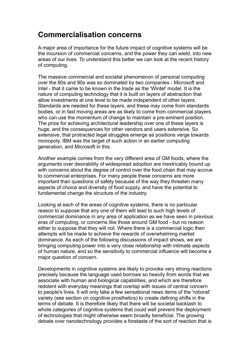### **Commercialisation concerns**

A major area of importance for the future impact of cognitive systems will be the incursion of commercial concerns, and the power they can wield, into new areas of our lives. To understand this better we can look at the recent history of computing.

The massive commercial and societal phenomenon of personal computing over the 80s and 90s was so dominated by two companies - Microsoft and Intel - that it came to be known in the trade as the 'Wintel' model. It is the nature of computing technology that it is built on layers of abstraction that allow investments at one level to be made independent of other layers. Standards are needed for these layers, and these may come from standards bodies, or in fast moving areas are as likely to come from commercial players who can use the momentum of change to maintain a pre-eminent position. The prize for achieving architectural leadership over one of these layers is huge, and the consequences for other vendors and users extensive. So extensive, that protracted legal struggles emerge as positions verge towards monopoly. IBM was the target of such action in an earlier computing generation, and Microsoft in this.

Another example comes from the very different area of GM foods, where the arguments over desirability of widespread adoption are inextricably bound up with concerns about the degree of control over the food chain that may accrue to commercial enterprises. For many people these concerns are more important than questions of safety because of the way they threaten many aspects of choice and diversity of food supply, and have the potential to fundamental change the structure of the industry.

Looking at each of the areas of cognitive systems, there is no particular reason to suppose that any one of them will lead to such high levels of commercial dominance in any area of application as we have seen in previous eras of computing, or concerns like those around GM food - but no reason either to suppose that they will not. Where there is a commercial logic then attempts will be made to achieve the rewards of overwhelming market dominance. As each of the following discussions of impact shows, we are bringing computing power into a very close relationship with intimate aspects of human nature, and so the sensitivity to commercial influence will become a major question of concern.

Developments in cognitive systems are likely to provoke very strong reactions precisely because the language used borrows so heavily from words that we associate with human and biological capabilities, and which are therefore redolent with everyday meanings that overlap with issues of central concern to people's lives. It will only take a few sensational news items of the 'roborat' variety (see section on cognitive prosthetics) to create defining shifts in the terms of debate. It is therefore likely that there will be societal backlash to whole categories of cognitive systems that could well prevent the deployment of technologies that might otherwise seem broadly beneficial. The growing debate over nanotechnology provides a foretaste of the sort of reaction that is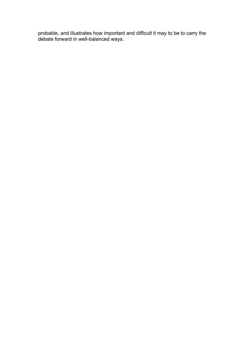probable, and illustrates how important and difficult it may to be to carry the debate forward in well-balanced ways.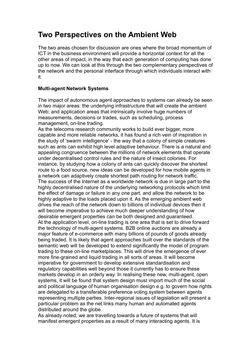### **Two Perspectives on the Ambient Web**

The two areas chosen for discussion are ones where the broad momentum of ICT in the business environment will provide a horizontal context for all the other areas of impact, in the way that each generation of computing has done up to now. We can look at this through the two complementary perspectives of the network and the personal interface through which individuals interact with it.

#### **Multi-agent Network Systems**

The impact of autonomous agent approaches to systems can already be seen in two major areas: the underlying infrastructure that will create the ambient Web; and application areas that intrinsically involve huge numbers of measurements, decisions or trades, such as scheduling, process management, on-line trading.

As the telecoms research community works to build ever bigger, more capable and more reliable networks, it has found a rich vein of inspiration in the study of 'swarm intelligence' - the way that a colony of simple creatures such as ants can exhibit high level adaptive behaviour. There is a natural and appealing congruence between the millions of network elements that operate under decentralised control rules and the nature of insect colonies. For instance, by studying how a colony of ants can quickly discover the shortest route to a food source, new ideas can be developed for how mobile agents in a network can adaptively create shortest path routing for network traffic. The success of the Internet as a worldwide network is due in large part to the highly decentralised nature of the underlying networking protocols which limit the effect of damage or failure in any one part, and allow the network to be highly adaptive to the loads placed upon it. As the emerging ambient web drives the reach of the network down to billions of individual devices then it will become imperative to achieve much deeper understanding of how desirable emergent properties can be both designed and guaranteed. At the application level, on-line trading is one area that is set to drive forward the technology of multi-agent systems. B2B online auctions are already a major feature of e-commerce with many billions of pounds of goods already being traded. It is likely that agent approaches built over the standards of the semantic web will be developed to extend significantly the model of program trading to these on-line marketplaces. This will drive the emergence of ever more fine-grained and liquid trading in all sorts of areas. It will become imperative for government to develop extensive standardisation and regulatory capabilities well beyond those it currently has to ensure these markets develop in an orderly way. In realising these new, multi-agent, open systems, it will be found that system design must import much of the social and political language of human organisation design e.g. to govern how rights are delegated to a transferable preference voting system between agents representing multiple parties. Inter-regional issues of legislation will present a particular problem as the net links many human and automated agents distributed around the globe.

As already noted, we are travelling towards a future of systems that will manifest emergent properties as a result of many interacting agents. It is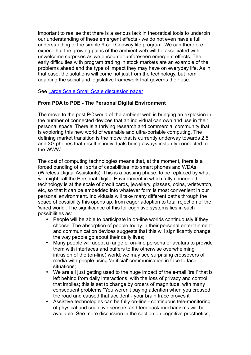important to realise that there is a serious lack in theoretical tools to underpin our understanding of these emergent effects - we do not even have a full understanding of the simple 9-cell Conway life program. We can therefore expect that the growing pains of the ambient web will be associated with unwelcome surprises as we encounter unforeseen emergent effects. The early difficulties with program trading in stock markets are an example of the problems ahead and the type of impact they may have on everyday life. As in that case, the solutions will come not just from the technology, but from adapting the social and legislative framework that governs their use.

See [Large Scale Small Scale discussion paper](http://www.foresight.gov.uk/OurWork/CompletedProjects/Cognitive/Docs/4_Largescale_Smallscale_Systems.asp)

#### **From PDA to PDE - The Personal Digital Environment**

The move to the post PC world of the ambient web is bringing an explosion in the number of connected devices that an individual can own and use in their personal space. There is a thriving research and commercial community that is exploring this new world of wearable and ultra-portable computing. The defining market transition is the move that is currently underway towards 2.5 and 3G phones that result in individuals being always instantly connected to the WWW.

The cost of computing technologies means that, at the moment, there is a forced bundling of all sorts of capabilities into smart phones and WDAs (Wireless Digital Assistants). This is a passing phase, to be replaced by what we might call the Personal Digital Environment in which fully connected technology is at the scale of credit cards, jewellery, glasses, coins, wristwatch, etc, so that it can be embedded into whatever form is most convenient in our personal environment. Individuals will take many different paths through the space of possibility this opens up, from eager adoption to total rejection of the 'wired world'. The significance of this for cognitive systems lies in such possibilities as:

- People will be able to participate in on-line worlds continuously if they choose. The absorption of people today in their personal entertainment and communication devices suggests that this will significantly change the way people go about their daily lives;
- Many people will adopt a range of on-line persona or avatars to provide them with interfaces and buffers to the otherwise overwhelming intrusion of the (on-line) world; we may see surprising crossovers of media with people using 'artificial' communication in face to face situations;
- We are all just getting used to the huge impact of the e-mail 'trail' that is left behind from daily interactions, with the loss of privacy and control that implies; this is set to change by orders of magnitude, with many consequent problems "You weren't paying attention when you crossed the road and caused that accident - your brain trace proves it";
- Assistive technologies can be fully on-line continuous tele-monitoring of physical and cognitive sensors and feedback mechanisms will be available. See more discussion in the section on cognitive prosthetics;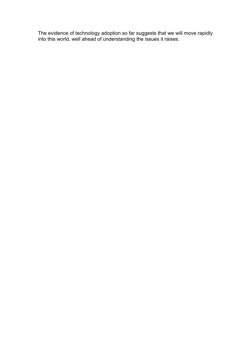The evidence of technology adoption so far suggests that we will move rapidly into this world, well ahead of understanding the issues it raises.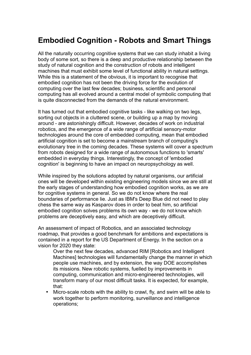### **Embodied Cognition - Robots and Smart Things**

All the naturally occurring cognitive systems that we can study inhabit a living body of some sort, so there is a deep and productive relationship between the study of natural cognition and the construction of robots and intelligent machines that must exhibit some level of functional ability in natural settings. While this is a statement of the obvious, it is important to recognise that embodied cognition has not been the driving force for the evolution of computing over the last few decades; business, scientific and personal computing has all evolved around a central model of symbolic computing that is quite disconnected from the demands of the natural environment.

It has turned out that embodied cognitive tasks - like walking on two legs, sorting out objects in a cluttered scene, or building up a map by moving around - are astonishingly difficult. However, decades of work on industrial robotics, and the emergence of a wide range of artificial sensory-motor technologies around the core of embedded computing, mean that embodied artificial cognition is set to become a mainstream branch of computing's evolutionary tree in the coming decades. These systems will cover a spectrum from robots designed for a wide range of autonomous functions to 'smarts' embedded in everyday things. Interestingly, the concept of 'embodied cognition' is beginning to have an impact on neuropsychology as well.

While inspired by the solutions adopted by natural organisms, our artificial ones will be developed within existing engineering models since we are still at the early stages of understanding how embodied cognition works, as we are for cognitive systems in general. So we do not know where the real boundaries of performance lie. Just as IBM's Deep Blue did not need to play chess the same way as Kasparov does in order to beat him, so artificial embodied cognition solves problems its own way - we do not know which problems are deceptively easy, and which are deceptively difficult.

An assessment of impact of Robotics, and an associated technology roadmap, that provides a good benchmark for ambitions and expectations is contained in a report for the US Department of Energy. In the section on a vision for 2020 they state:

Over the next few decades, advanced RIM [Robotics and Intelligent Machines] technologies will fundamentally change the manner in which people use machines, and by extension, the way DOE accomplishes its missions. New robotic systems, fuelled by improvements in computing, communication and micro-engineered technologies, will transform many of our most difficult tasks. It is expected, for example, that:

• Micro-scale robots with the ability to crawl, fly, and swim will be able to work together to perform monitoring, surveillance and intelligence operations;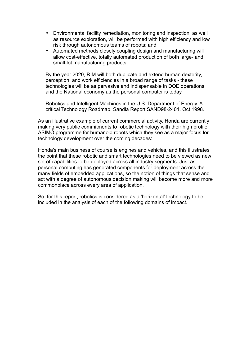- Environmental facility remediation, monitoring and inspection, as well as resource exploration, will be performed with high efficiency and low risk through autonomous teams of robots; and
- Automated methods closely coupling design and manufacturing will allow cost-effective, totally automated production of both large- and small-lot manufacturing products.

By the year 2020, RIM will both duplicate and extend human dexterity, perception, and work efficiencies in a broad range of tasks - these technologies will be as pervasive and indispensable in DOE operations and the National economy as the personal computer is today.

Robotics and Intelligent Machines in the U.S. Department of Energy. A critical Technology Roadmap. Sandia Report SAND98-2401. Oct 1998.

As an illustrative example of current commercial activity, Honda are currently making very public commitments to robotic technology with their high profile ASIMO programme for humanoid robots which they see as a major focus for technology development over the coming decades:

Honda's main business of course is engines and vehicles, and this illustrates the point that these robotic and smart technologies need to be viewed as new set of capabilities to be deployed across all industry segments. Just as personal computing has generated components for deployment across the many fields of embedded applications, so the notion of things that sense and act with a degree of autonomous decision making will become more and more commonplace across every area of application.

So, for this report, robotics is considered as a 'horizontal' technology to be included in the analysis of each of the following domains of impact.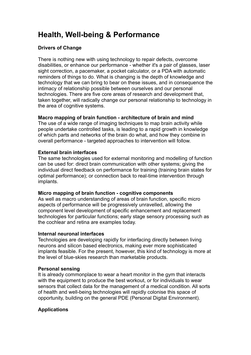### **Health, Well-being & Performance**

#### **Drivers of Change**

There is nothing new with using technology to repair defects, overcome disabilities, or enhance our performance - whether it's a pair of glasses, laser sight correction, a pacemaker, a pocket calculator, or a PDA with automatic reminders of things to do. What is changing is the depth of knowledge and technology that we can bring to bear on these issues, and in consequence the intimacy of relationship possible between ourselves and our personal technologies. There are five core areas of research and development that, taken together, will radically change our personal relationship to technology in the area of cognitive systems.

#### **Macro mapping of brain function - architecture of brain and mind**

The use of a wide range of imaging techniques to map brain activity while people undertake controlled tasks, is leading to a rapid growth in knowledge of which parts and networks of the brain do what, and how they combine in overall performance - targeted approaches to intervention will follow.

#### **External brain interfaces**

The same technologies used for external monitoring and modelling of function can be used for: direct brain communication with other systems; giving the individual direct feedback on performance for training (training brain states for optimal performance); or connection back to real-time intervention through implants.

#### **Micro mapping of brain function - cognitive components**

As well as macro understanding of areas of brain function, specific micro aspects of performance will be progressively unravelled, allowing the component level development of specific enhancement and replacement technologies for particular functions; early stage sensory processing such as the cochlear and retina are examples today.

#### **Internal neuronal interfaces**

Technologies are developing rapidly for interfacing directly between living neurons and silicon based electronics, making ever more sophisticated implants feasible. For the present, however, this kind of technology is more at the level of blue-skies research than marketable products.

#### **Personal sensing**

It is already commonplace to wear a heart monitor in the gym that interacts with the equipment to produce the best workout, or for individuals to wear sensors that collect data for the management of a medical condition. All sorts of health and well-being technologies will rapidly colonise this space of opportunity, building on the general PDE (Personal Digital Environment).

#### **Applications**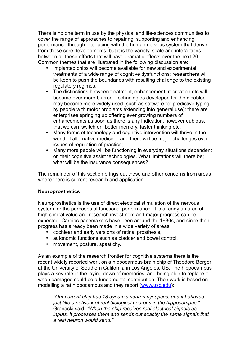There is no one term in use by the physical and life-sciences communities to cover the range of approaches to repairing, supporting and enhancing performance through interfacing with the human nervous system that derive from these core developments, but it is the variety, scale and interactions between all these efforts that will have dramatic effects over the next 20. Common themes that are illustrated in the following discussion are:

- Implanted chips will become available for new and experimental treatments of a wide range of cognitive dysfunctions; researchers will be keen to push the boundaries with resulting challenge to the existing regulatory regimes.
- The distinctions between treatment, enhancement, recreation etc will become ever more blurred. Technologies developed for the disabled may become more widely used (such as software for predictive typing by people with motor problems extending into general use); there are enterprises springing up offering ever growing numbers of enhancements as soon as there is any indication, however dubious, that we can 'switch on' better memory, faster thinking etc.
- Many forms of technology and cognitive intervention will thrive in the world of alternative medicine, and there will be major challenges over issues of regulation of practice;
- Many more people will be functioning in everyday situations dependent on their cognitive assist technologies. What limitations will there be; what will be the insurance consequences?

The remainder of this section brings out these and other concerns from areas where there is current research and application.

#### **Neuroprosthetics**

Neuroprosthetics is the use of direct electrical stimulation of the nervous system for the purposes of functional performance. It is already an area of high clinical value and research investment and major progress can be expected. Cardiac pacemakers have been around the 1930s, and since then progress has already been made in a wide variety of areas:

- cochlear and early versions of retinal prosthesis,
- autonomic functions such as bladder and bowel control.
- movement, posture, spasticity.

As an example of the research frontier for cognitive systems there is the recent widely reported work on a hippocampus brain chip of Theodore Berger at the University of Southern California in Los Angeles, US. The hippocampus plays a key role in the laying down of memories, and being able to replace it when damaged could be a fundamental contribution. Their work is based on modelling a rat hippocampus and they report [\(www.usc.edu\)](http://www.foresight.gov.uk/OurWork/CompletedProjects/Cognitive/Docs/6_Health.asp):

*"Our current chip has 18 dynamic neuron synapses, and it behaves just like a network of real biological neurons in the hippocampus,"* Granacki said. *"When the chip receives real electrical signals as inputs, it processes them and sends out exactly the same signals that a real neuron would send."*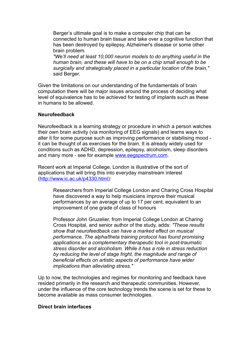Berger's ultimate goal is to make a computer chip that can be connected to human brain tissue and take over a cognitive function that has been destroyed by epilepsy, Alzheimer's disease or some other brain problem.

*"We'll need at least 10,000 neuron models to do anything useful in the human brain, and these will have to be on a chip small enough to be surgically and strategically placed in a particular location of the brain,"* said Berger.

Given the limitations on our understanding of the fundamentals of brain computation there will be major issues around the process of deciding what level of equivalence has to be achieved for testing of implants such as these in humans to be allowed.

#### **Neurofeedback**

Neurofeedback is a learning strategy or procedure in which a person watches their own brain activity (via monitoring of EEG signals) and learns ways to alter it for some purpose such as improving performance or stabilising mood it can be thought of as exercises for the brain. It is already widely used for conditions such as ADHD, depression, epilepsy, alcoholism, sleep disorders and many more - see for example [www.eegspectrum.com.](http://www.foresight.gov.uk/OurWork/CompletedProjects/Cognitive/Docs/6_Health.asp)

Recent work at Imperial College, London is illustrative of the sort of applications that will bring this into everyday mainstream interest [\(http://www.ic.ac.uk/p4330.html\)](http://www.foresight.gov.uk/OurWork/CompletedProjects/Cognitive/Docs/6_Health.asp):

Researchers from Imperial College London and Charing Cross Hospital have discovered a way to help musicians improve their musical performances by an average of up to 17 per cent, equivalent to an improvement of one grade of class of honours

Professor John Gruzelier, from Imperial College London at Charing Cross Hospital, and senior author of the study, adds: *"These results show that neurofeedback can have a marked effect on musical performance. The alpha/theta training protocol has found promising applications as a complementary therapeutic tool in post-traumatic stress disorder and alcoholism. While it has a role in stress reduction by reducing the level of stage fright, the magnitude and range of beneficial effects on artistic aspects of performance have wider implications than alleviating stress."*

Up to now, the technologies and regimes for monitoring and feedback have resided primarily in the research and therapeutic communities. However, under the influence of the core technology trends the scene is set for these to become available as mass consumer technologies.

#### **Direct brain interfaces**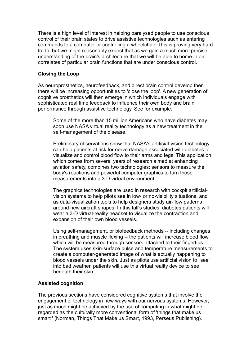There is a high level of interest in helping paralysed people to use conscious control of their brain states to drive assistive technologies such as entering commands to a computer or controlling a wheelchair. This is proving very hard to do, but we might reasonably expect that as we gain a much more precise understanding of the brain's architecture that we will be able to home in on correlates of particular brain functions that are under conscious control.

#### **Closing the Loop**

As neuroprosthetics, neurofeedback, and direct brain control develop then there will be increasing opportunities to 'close the loop'. A new generation of cognitive prosthetics will then emerge in which individuals engage with sophisticated real time feedback to influence their own body and brain performance through assistive technology. See for example:

Some of the more than 15 million Americans who have diabetes may soon use NASA virtual reality technology as a new treatment in the self-management of the disease.

Preliminary observations show that NASA's artificial-vision technology can help patients at risk for nerve damage associated with diabetes to visualize and control blood flow to their arms and legs. This application, which comes from several years of research aimed at enhancing aviation safety, combines two technologies: sensors to measure the body's reactions and powerful computer graphics to turn those measurements into a 3-D virtual environment.

The graphics technologies are used in research with cockpit artificialvision systems to help pilots see in low- or no-visibility situations, and as data-visualization tools to help designers study air-flow patterns around new aircraft shapes. In this fall's studies, diabetes patients will wear a 3-D virtual-reality headset to visualize the contraction and expansion of their own blood vessels.

Using self-management, or biofeedback methods -- including changes in breathing and muscle flexing -- the patients will increase blood flow, which will be measured through sensors attached to their fingertips. The system uses skin-surface pulse and temperature measurements to create a computer-generated image of what is actually happening to blood vessels under the skin. Just as pilots use artificial vision to "see" into bad weather, patients will use this virtual reality device to see beneath their skin.

#### **Assisted cognition**

The previous sections have considered cognitive systems that involve the engagement of technology in new ways with our nervous systems. However, just as much might be achieved by the use of computing in what might be regarded as the culturally more conventional form of 'things that make us smart ' (Norman, Things That Make us Smart, 1993, Perseus Publishing).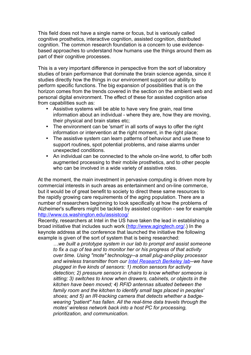This field does not have a single name or focus, but is variously called cognitive prosthetics, interactive cognition, assisted cognition, distributed cognition. The common research foundation is a concern to use evidencebased approaches to understand how humans use the things around them as part of their cognitive processes.

This is a very important difference in perspective from the sort of laboratory studies of brain performance that dominate the brain science agenda, since it studies directly how the things in our environment support our ability to perform specific functions. The big expansion of possibilities that is on the horizon comes from the trends covered in the section on the ambient web and personal digital environment. The effect of these for assisted cognition arise from capabilities such as:

- Assistive systems will be able to have very fine grain, real time information about an individual - where they are, how they are moving, their physical and brain states etc;
- The environment can be 'smart' in all sorts of ways to offer the right information or intervention at the right moment, in the right place;
- The assistive system can learn patterns of behaviour and use these to support routines, spot potential problems, and raise alarms under unexpected conditions.
- An individual can be connected to the whole on-line world, to offer both augmented processing to their mobile prosthetics, and to other people who can be involved in a wide variety of assistive roles.

At the moment, the main investment in pervasive computing is driven more by commercial interests in such areas as entertainment and on-line commerce, but it would be of great benefit to society to direct these same resources to the rapidly growing care requirements of the aging population. There are a number of researchers beginning to look specifically at how the problems of Alzheimer's sufferers might be tackled by assisted cognition - see for example [http://www.cs.washington.edu/assistcog/](http://www.foresight.gov.uk/OurWork/CompletedProjects/Cognitive/Docs/6_Health.asp)

Recently, researchers at Intel in the US have taken the lead in establishing a broad initiative that includes such work [\(http://www.agingtech.org/.](http://www.foresight.gov.uk/OurWork/CompletedProjects/Cognitive/Docs/6_Health.asp)) In the keynote address at the conference that launched the initiative the following example is given of the sort of system that is being researched:

*…we built a prototype system in our lab to prompt and assist someone to fix a cup of tea and to monitor her or his progress of that activity over time. Using "mote" technology--a small plug-and-play processor and wireless transmitter from our [Intel Research Berkeley lab-](http://www.foresight.gov.uk/OurWork/CompletedProjects/Cognitive/Docs/6_Health.asp)-we have plugged in five kinds of sensors: 1) motion sensors for activity detection; 2) pressure sensors in chairs to know whether someone is sitting; 3) switches to know when drawers, cabinets, or objects in the kitchen have been moved; 4) RFID antennas situated between the family room and the kitchen to identify small tags placed in peoples' shoes; and 5) an IR-tracking camera that detects whether a badgewearing "patient" has fallen. All the real-time data travels through the motes' wireless network back into a host PC for processing, prioritization, and communication.*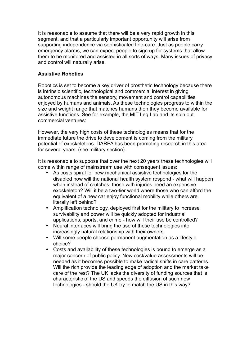It is reasonable to assume that there will be a very rapid growth in this segment, and that a particularly important opportunity will arise from supporting independence via sophisticated tele-care. Just as people carry emergency alarms, we can expect people to sign up for systems that allow them to be monitored and assisted in all sorts of ways. Many issues of privacy and control will naturally arise.

#### **Assistive Robotics**

Robotics is set to become a key driver of prosthetic technology because there is intrinsic scientific, technological and commercial interest in giving autonomous machines the sensory, movement and control capabilities enjoyed by humans and animals. As these technologies progress to within the size and weight range that matches humans then they become available for assistive functions. See for example, the MIT Leg Lab and its spin out commercial ventures:

However, the very high costs of these technologies means that for the immediate future the drive to development is coming from the military potential of exoskeletons. DARPA has been promoting research in this area for several years. (see military section).

It is reasonable to suppose that over the next 20 years these technologies will come within range of mainstream use with consequent issues:

- As costs spiral for new mechanical assistive technologies for the disabled how will the national health system respond - what will happen when instead of crutches, those with injuries need an expensive exoskeleton? Will it be a two-tier world where those who can afford the equivalent of a new car enjoy functional mobility while others are literally left behind?
- Amplification technology, deployed first for the military to increase survivability and power will be quickly adopted for industrial applications, sports, and crime - how will their use be controlled?
- Neural interfaces will bring the use of these technologies into increasingly natural relationship with their owners.
- Will some people choose permanent augmentation as a lifestyle choice?
- Costs and availability of these technologies is bound to emerge as a major concern of public policy. New cost/value assessments will be needed as it becomes possible to make radical shifts in care patterns. Will the rich provide the leading edge of adoption and the market take care of the rest? The UK lacks the diversity of funding sources that is characteristic of the US and speeds the diffusion of such new technologies - should the UK try to match the US in this way?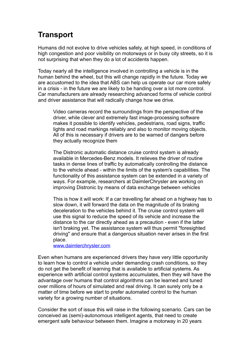### **Transport**

Humans did not evolve to drive vehicles safely, at high speed, in conditions of high congestion and poor visibility on motorways or in busy city streets, so it is not surprising that when they do a lot of accidents happen.

Today nearly all the intelligence involved in controlling a vehicle is in the human behind the wheel, but this will change rapidly in the future. Today we are accustomed to the idea that ABS can help us operate our car more safely in a crisis - in the future we are likely to be handing over a lot more control. Car manufacturers are already researching advanced forms of vehicle control and driver assistance that will radically change how we drive.

Video cameras record the surroundings from the perspective of the driver, while clever and extremely fast image-processing software makes it possible to identify vehicles, pedestrians, road signs, traffic lights and road markings reliably and also to monitor moving objects. All of this is necessary if drivers are to be warned of dangers before they actually recognize them

The Distronic automatic distance cruise control system is already available in Mercedes-Benz models. It relieves the driver of routine tasks in dense lines of traffic by automatically controlling the distance to the vehicle ahead - within the limits of the system's capabilities. The functionality of this assistance system can be extended in a variety of ways. For example, researchers at DaimlerChrysler are working on improving Distronic by means of data exchange between vehicles

This is how it will work: If a car travelling far ahead on a highway has to slow down, it will forward the data on the magnitude of its braking deceleration to the vehicles behind it. The cruise control system will use this signal to reduce the speed of its vehicle and increase the distance to the car directly ahead as a precaution - even if the latter isn't braking yet. The assistance system will thus permit "foresighted driving" and ensure that a dangerous situation never arises in the first place.

[www.daimlerchrysler.com](http://www.foresight.gov.uk/OurWork/CompletedProjects/Cognitive/Docs/7_Transport.asp)

Even when humans are experienced drivers they have very little opportunity to learn how to control a vehicle under demanding crash conditions, so they do not get the benefit of learning that is available to artificial systems. As experience with artificial control systems accumulates, then they will have the advantage over humans that control algorithms can be learned and tuned over millions of hours of simulated and real driving. It can surely only be a matter of time before we start to prefer automated control to the human variety for a growing number of situations.

Consider the sort of issue this will raise in the following scenario. Cars can be conceived as (semi)-autonomous intelligent agents, that need to create emergent safe behaviour between them. Imagine a motorway in 20 years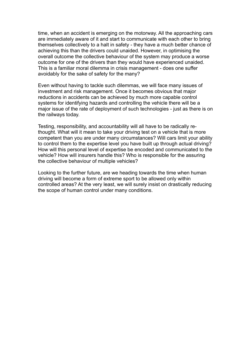time, when an accident is emerging on the motorway. All the approaching cars are immediately aware of it and start to communicate with each other to bring themselves collectively to a halt in safety - they have a much better chance of achieving this than the drivers could unaided. However, in optimising the overall outcome the collective behaviour of the system may produce a worse outcome for one of the drivers than they would have experienced unaided. This is a familiar moral dilemma in crisis management - does one suffer avoidably for the sake of safety for the many?

Even without having to tackle such dilemmas, we will face many issues of investment and risk management. Once it becomes obvious that major reductions in accidents can be achieved by much more capable control systems for identifying hazards and controlling the vehicle there will be a major issue of the rate of deployment of such technologies - just as there is on the railways today.

Testing, responsibility, and accountability will all have to be radically rethought. What will it mean to take your driving test on a vehicle that is more competent than you are under many circumstances? Will cars limit your ability to control them to the expertise level you have built up through actual driving? How will this personal level of expertise be encoded and communicated to the vehicle? How will insurers handle this? Who is responsible for the assuring the collective behaviour of multiple vehicles?

Looking to the further future, are we heading towards the time when human driving will become a form of extreme sport to be allowed only within controlled areas? At the very least, we will surely insist on drastically reducing the scope of human control under many conditions.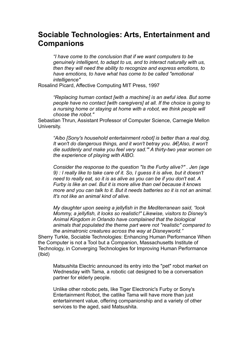### **Sociable Technologies: Arts, Entertainment and Companions**

*"I have come to the conclusion that if we want computers to be genuinely intelligent, to adapt to us, and to interact naturally with us, then they will need the ability to recognize and express emotions, to have emotions, to have what has come to be called "emotional intelligence"*

Rosalind Picard, Affective Computing MIT Press, 1997

*"Replacing human contact [with a machine] is an awful idea. But some people have no contact [with caregivers] at all. If the choice is going to a nursing home or staying at home with a robot, we think people will choose the robot."*

Sebastian Thrun, Assistant Professor of Computer Science, Carnegie Mellon University.

*"Aibo [Sony's household entertainment robot] is better than a real dog. It won't do dangerous things, and it won't betray you.*  $\hat{a} \in \mathcal{A}$ *lso, it won't die suddenly and make you feel very sad.'" A thirty-two year women on the experience of playing with AIBO.*

*Consider the response to the question "Is the Furby alive?" . Jen (age 9) : I really like to take care of it. So, I guess it is alive, but it doesn't need to really eat, so it is as alive as you can be if you don't eat. A Furby is like an owl. But it is more alive than owl because it knows more and you can talk to it. But it needs batteries so it is not an animal. It's not like an animal kind of alive.*

*My daughter upon seeing a jellyfish in the Mediterranean said, "look Mommy, a jellyfish, it looks so realistic!" Likewise, visitors to Disney's Animal Kingdom in Orlando have complained that the biological animals that populated the theme part were not "realistic" compared to the animatronic creatures across the way at Disneyworld."*

Sherry Turkle, Sociable Technologies: Enhancing Human Performance When the Computer is not a Tool but a Companion, Massachusetts Institute of Technology, in Converging Technologies for Improving Human Performance (Ibid)

Matsushita Electric announced its entry into the "pet" robot market on Wednesday with Tama, a robotic cat designed to be a conversation partner for elderly people.

Unlike other robotic pets, like Tiger Electronic's Furby or Sony's Entertainment Robot, the catlike Tama will have more than just entertainment value, offering companionship and a variety of other services to the aged, said Matsushita.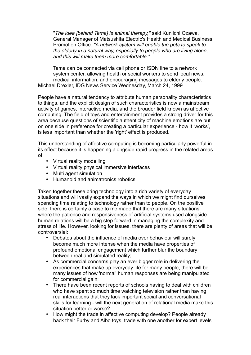"*The idea [behind Tama] is animal therapy,"* said Kuniichi Ozawa, General Manager of Matsushita Electric's Health and Medical Business Promotion Office*. "A network system will enable the pets to speak to the elderly in a natural way, especially to people who are living alone, and this will make them more comfortable."*

Tama can be connected via cell phone or ISDN line to a network system center, allowing health or social workers to send local news, medical information, and encouraging messages to elderly people. Michael Drexler, IDG News Service Wednesday, March 24, 1999

People have a natural tendency to attribute human personality characteristics to things, and the explicit design of such characteristics is now a mainstream activity of games, interactive media, and the broader field known as affective computing. The field of toys and entertainment provides a strong driver for this area because questions of scientific authenticity of machine emotions are put on one side in preference for creating a particular experience - how it 'works', is less important than whether the 'right' effect is produced.

This understanding of affective computing is becoming particularly powerful in its effect because it is happening alongside rapid progress in the related areas of:

- Virtual reality modelling
- Virtual reality physical immersive interfaces
- Multi agent simulation
- Humanoid and animatronics robotics

Taken together these bring technology into a rich variety of everyday situations and will vastly expand the ways in which we might find ourselves spending time relating to technology rather than to people. On the positive side, there is certainly a case to me made that there are many situations where the patience and responsiveness of artificial systems used alongside human relations will be a big step forward in managing the complexity and stress of life. However, looking for issues, there are plenty of areas that will be controversial:

- Debates about the influence of media over behaviour will surely become much more intense when the media have properties of profound emotional engagement which further blur the boundary between real and simulated reality;
- As commercial concerns play an ever bigger role in delivering the experiences that make up everyday life for many people, there will be many issues of how 'normal' human responses are being manipulated for commercial gain;
- There have been recent reports of schools having to deal with children who have spent so much time watching television rather than having real interactions that they lack important social and conversational skills for learning - will the next generation of relational media make this situation better or worse?
- How might the trade in affective computing develop? People already hack their Furby and Aibo toys, trade with one another for expert levels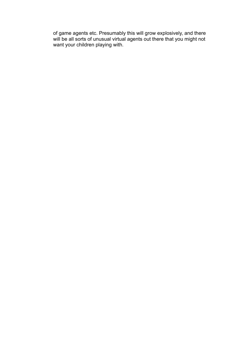of game agents etc. Presumably this will grow explosively, and there will be all sorts of unusual virtual agents out there that you might not want your children playing with.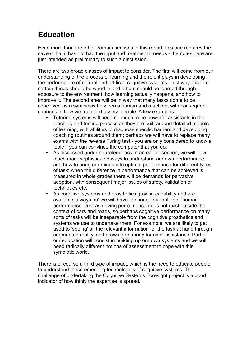### **Education**

Even more than the other domain sections in this report, this one requires the caveat that it has not had the input and treatment it needs - the notes here are just intended as preliminary to such a discussion.

There are two broad classes of impact to consider. The first will come from our understanding of the process of learning and the role it plays in developing the performance of natural and artificial cognitive systems - just why it is that certain things should be wired in and others should be learned through exposure to the environment, how learning actually happens, and how to improve it. The second area will be in way that many tasks come to be conceived as a symbiosis between a human and machine, with consequent changes in how we train and assess people. A few examples:

- Tutoring systems will become much more powerful assistants in the teaching and testing process as they are built around detailed models of learning, with abilities to diagnose specific barriers and developing coaching routines around them; perhaps we will have to replace many exams with the reverse Turing test - you are only considered to know a topic if you can convince the computer that you do;
- As discussed under neurofeedback in an earlier section, we will have much more sophisticated ways to understand our own performance and how to bring our minds into optimal performance for different types of task; when the difference in performance that can be achieved is measured in whole grades there will be demands for pervasive adoption, with consequent major issues of safety, validation of techniques etc;
- As cognitive systems and prosthetics grow in capability and are available 'always on' we will have to change our notion of human performance. Just as driving performance does not exist outside the context of cars and roads, so perhaps cognitive performance on many sorts of tasks will be inseparable from the cognitive prosthetics and systems we use to undertake them. For example, we are likely to get used to 'seeing' all the relevant information for the task at hand through augmented reality, and drawing on many forms of assistance. Part of our education will consist in building up our own systems and we will need radically different notions of assessment to cope with this symbiotic world.

There is of course a third type of impact, which is the need to educate people to understand these emerging technologies of cognitive systems. The challenge of undertaking the Cognitive Systems Foresight project is a good indicator of how thinly the expertise is spread.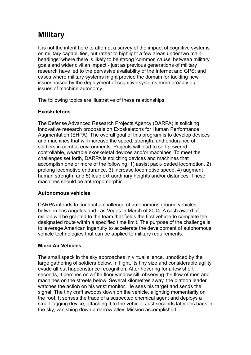### **Military**

It is not the intent here to attempt a survey of the impact of cognitive systems on military capabilities, but rather to highlight a few areas under two main headings: where there is likely to be strong 'common cause' between military goals and wider civilian impact - just as previous generations of military research have led to the pervasive availability of the Internet and GPS; and cases where military systems might provide the domain for tackling new issues raised by the deployment of cognitive systems more broadly e.g. issues of machine autonomy.

The following topics are illustrative of these relationships.

#### **Exoskeletons**

The Defense Advanced Research Projects Agency (DARPA) is soliciting innovative research proposals on Exoskeletons for Human Performance Augmentation (EHPA). The overall goal of this program is to develop devices and machines that will increase the speed, strength, and endurance of soldiers in combat environments. Projects will lead to self-powered, controllable, wearable exoskeletal devices and/or machines. To meet the challenges set forth, DARPA is soliciting devices and machines that accomplish one or more of the following: 1) assist pack-loaded locomotion, 2) prolong locomotive endurance, 3) increase locomotive speed, 4) augment human strength, and 5) leap extraordinary heights and/or distances. These machines should be anthropomorphic.

#### **Autonomous vehicles**

DARPA intends to conduct a challenge of autonomous ground vehicles between Los Angeles and Las Vegas in March of 2004. A cash award of million will be granted to the team that fields the first vehicle to complete the designated route within a specified time limit. The purpose of the challenge is to leverage American ingenuity to accelerate the development of autonomous vehicle technologies that can be applied to military requirements.

#### **Micro Air Vehicles**

The small speck in the sky approaches in virtual silence, unnoticed by the large gathering of soldiers below. In flight, its tiny size and considerable agility evade all but happenstance recognition. After hovering for a few short seconds, it perches on a fifth floor window sill, observing the flow of men and machines on the streets below. Several kilometres away, the platoon leader watches the action on his wrist monitor. He sees his target and sends the signal. The tiny craft swoops down on the vehicle, alighting momentarily on the roof. It senses the trace of a suspected chemical agent and deploys a small tagging device, attaching it to the vehicle. Just seconds later it is back in the sky, vanishing down a narrow alley. Mission accomplished...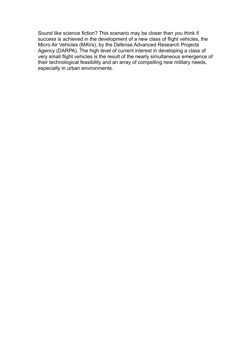Sound like science fiction? This scenario may be closer than you think if success is achieved in the development of a new class of flight vehicles, the Micro Air Vehicles (MAVs), by the Defense Advanced Research Projects Agency (DARPA). The high level of current interest in developing a class of very small flight vehicles is the result of the nearly simultaneous emergence of their technological feasibility and an array of compelling new military needs, especially in urban environments.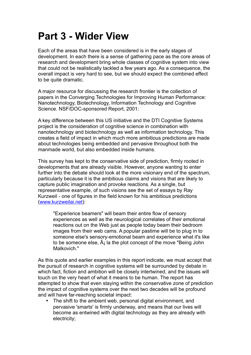## **Part 3 - Wider View**

Each of the areas that have been considered is in the early stages of development. In each there is a sense of gathering pace as the core areas of research and development bring whole classes of cognitive system into view that could not be realistically tackled a few years ago. As a consequence, the overall impact is very hard to see, but we should expect the combined effect to be quite dramatic.

A major resource for discussing the research frontier is the collection of papers in the Converging Technologies for Improving Human Performance: Nanotechnology, Biotechnology, Information Technology and Cognitive Science. NSF/DOC-sponsored Report, 2001:

A key difference between this US initiative and the DTI Cognitive Systems project is the consideration of cognitive science in combination with nanotechnology and biotechnology as well as information technology. This creates a field of impact in which much more ambitious predictions are made about technologies being embedded and pervasive throughout both the manmade world, but also embedded inside humans.

This survey has kept to the conservative side of prediction, firmly rooted in developments that are already visible. However, anyone wanting to enter further into the debate should look at the more visionary end of the spectrum, particularly because it is the ambitious claims and visions that are likely to capture public imagination and provoke reactions. As a single, but representative example, of such visions see the set of essays by Ray Kurzweil - one of figures in the field known for his ambitious predictions [\(www.kurzweilai.net\)](http://www.foresight.gov.uk/OurWork/CompletedProjects/Cognitive/Docs/11_Part_3.asp):

"Experience beamers" will beam their entire flow of sensory experiences as well as the neurological correlates of their emotional reactions out on the Web just as people today beam their bedroom images from their web cams. A popular pastime will be to plug in to someone else's sensory-emotional beam and experience what it's like to be someone else.  $\tilde{A}$  la the plot concept of the move "Being John Malkovich."

As this quote and earlier examples in this report indicate, we must accept that the pursuit of research in cognitive systems will be surrounded by debate in which fact, fiction and ambition will be closely intertwined, and the issues will touch on the very heart of what it means to be human. The report has attempted to show that even staying within the conservative zone of prediction the impact of cognitive systems over the next two decades will be profound and will have far-reaching societal impact:

• The shift to the ambient web, personal digital environment, and pervasive 'smarts' is firmly underway, and means that our lives will become as entwined with digital technology as they are already with electricity;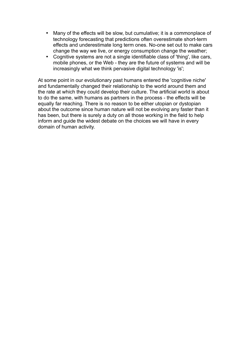- Many of the effects will be slow, but cumulative; it is a commonplace of technology forecasting that predictions often overestimate short-term effects and underestimate long term ones. No-one set out to make cars change the way we live, or energy consumption change the weather;
- Cognitive systems are not a single identifiable class of 'thing', like cars, mobile phones, or the Web - they are the future of systems and will be increasingly what we think pervasive digital technology 'is';

At some point in our evolutionary past humans entered the 'cognitive niche' and fundamentally changed their relationship to the world around them and the rate at which they could develop their culture. The artificial world is about to do the same, with humans as partners in the process - the effects will be equally far reaching. There is no reason to be either utopian or dystopian about the outcome since human nature will not be evolving any faster than it has been, but there is surely a duty on all those working in the field to help inform and guide the widest debate on the choices we will have in every domain of human activity.